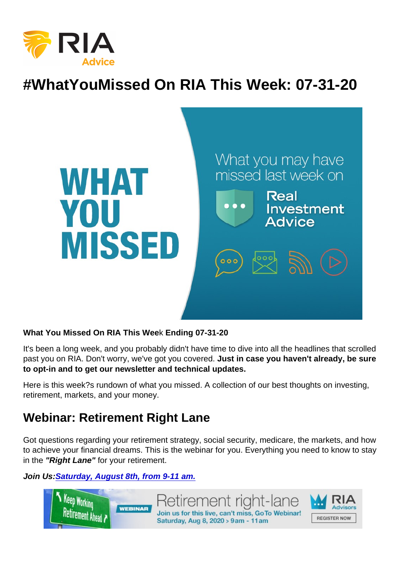# #WhatYouMissed On RIA This Week: 07-31-20

What You Missed On RIA This Wee k Ending 07-31-20

It's been a long week, and you probably didn't have time to dive into all the headlines that scrolled past you on RIA. Don't worry, we've got you covered. Just in case you haven't already, be sure to opt-in and to get our newsletter and technical updates.

Here is this week?s rundown of what you missed. A collection of our best thoughts on investing, retirement, markets, and your money.

#### Webinar: Retirement Right Lane

Got questions regarding your retirement strategy, social security, medicare, the markets, and how to achieve your financial dreams. This is the webinar for you. Everything you need to know to stay in the "Right Lane" for your retirement.

Join Us: [Saturday, August 8th, from 9-11 am.](https://register.gotowebinar.com/rt/8069640600037624590?source=RIA+Website)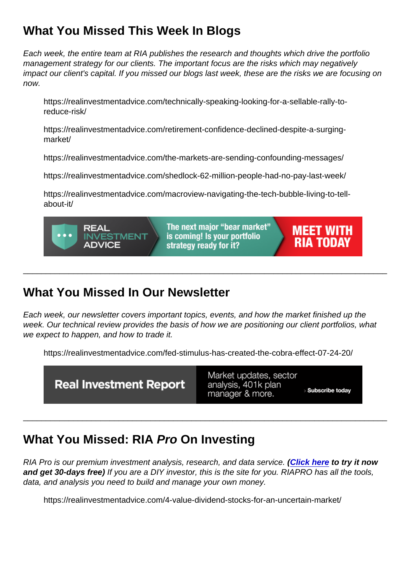# What You Missed This Week I n Blogs

Each week, the entire team at RIA publishes the research and thoughts which drive the portfolio management strategy for our clients. The important focus are the risks which may negatively impact our client's capital. If you missed our blogs last week, these are the risks we are focusing on now.

https://realinvestmentadvice.com/technically-speaking-looking-for-a-sellable-rally-toreduce-risk/

https://realinvestmentadvice.com/retirement-confidence-declined-despite-a-surgingmarket/

https://realinvestmentadvice.com/the-markets-are-sending-confounding-messages/

https://realinvestmentadvice.com/shedlock-62-million-people-had-no-pay-last-week/

https://realinvestmentadvice.com/macroview-navigating-the-tech-bubble-living-to-tellabout-it/

# What You Missed In Our Newsletter

Each week, our newsletter covers important topics, events, and how the market finished up the week. Our technical review provides the basis of how we are positioning our client portfolios, what we expect to happen, and how to trade it.

\_\_\_\_\_\_\_\_\_\_\_\_\_\_\_\_\_\_\_\_\_\_\_\_\_\_\_\_\_\_\_\_\_\_\_\_\_\_\_\_\_\_\_\_\_\_\_\_\_\_\_\_\_\_\_\_\_\_\_\_\_\_\_\_\_\_\_\_\_\_\_\_\_\_\_\_\_\_\_\_

https://realinvestmentadvice.com/fed-stimulus-has-created-the-cobra-effect-07-24-20/

# What You Missed: RIA Pro On Investing

RIA Pro is our premium investment analysis, research, and data service. [\(Click here](https://riapro.net/register) to try it now and get 30-days free) If you are a DIY investor, this is the site for you. RIAPRO has all the tools, data, and analysis you need to build and manage your own money.

\_\_\_\_\_\_\_\_\_\_\_\_\_\_\_\_\_\_\_\_\_\_\_\_\_\_\_\_\_\_\_\_\_\_\_\_\_\_\_\_\_\_\_\_\_\_\_\_\_\_\_\_\_\_\_\_\_\_\_\_\_\_\_\_\_\_\_\_\_\_\_\_\_\_\_\_\_\_\_\_

https://realinvestmentadvice.com/4-value-dividend-stocks-for-an-uncertain-market/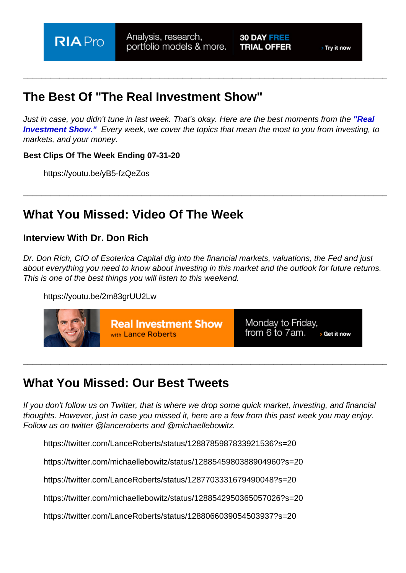## The Best Of "The Real Investment Show"

Just in case, you didn't tune in last week. That's okay. Here are the best moments from the ["Real](https://www.youtube.com/channel/UCXVMMgEidXlrTM1coedg70A/videos) [Investment Show."](https://www.youtube.com/channel/UCXVMMgEidXlrTM1coedg70A/videos) Every week, we cover the topics that mean the most to you from investing, to markets, and your money.

\_\_\_\_\_\_\_\_\_\_\_\_\_\_\_\_\_\_\_\_\_\_\_\_\_\_\_\_\_\_\_\_\_\_\_\_\_\_\_\_\_\_\_\_\_\_\_\_\_\_\_\_\_\_\_\_\_\_\_\_\_\_\_\_\_\_\_\_\_\_\_\_\_\_\_\_\_\_\_\_

\_\_\_\_\_\_\_\_\_\_\_\_\_\_\_\_\_\_\_\_\_\_\_\_\_\_\_\_\_\_\_\_\_\_\_\_\_\_\_\_\_\_\_\_\_\_\_\_\_\_\_\_\_\_\_\_\_\_\_\_\_\_\_\_\_\_\_\_\_\_\_\_\_\_\_\_\_\_\_\_

Best Clips Of The Week Ending 07-31-20

https://youtu.be/yB5-fzQeZos

### What You Missed: Video Of The Week

Interview With Dr. Don Rich

Dr. Don Rich, CIO of Esoterica Capital dig into the financial markets, valuations, the Fed and just about everything you need to know about investing in this market and the outlook for future returns. This is one of the best things you will listen to this weekend.

https://youtu.be/2m83grUU2Lw

#### What You Missed: Our Best Tweets

If you don't follow us on Twitter, that is where we drop some quick market, investing, and financial thoughts. However, just in case you missed it, here are a few from this past week you may enjoy. Follow us on twitter @lanceroberts and @michaellebowitz.

\_\_\_\_\_\_\_\_\_\_\_\_\_\_\_\_\_\_\_\_\_\_\_\_\_\_\_\_\_\_\_\_\_\_\_\_\_\_\_\_\_\_\_\_\_\_\_\_\_\_\_\_\_\_\_\_\_\_\_\_\_\_\_\_\_\_\_\_\_\_\_\_\_\_\_\_\_\_\_\_

https://twitter.com/LanceRoberts/status/1288785987833921536?s=20

https://twitter.com/michaellebowitz/status/1288545980388904960?s=20

https://twitter.com/LanceRoberts/status/1287703331679490048?s=20

https://twitter.com/michaellebowitz/status/1288542950365057026?s=20

https://twitter.com/LanceRoberts/status/1288066039054503937?s=20